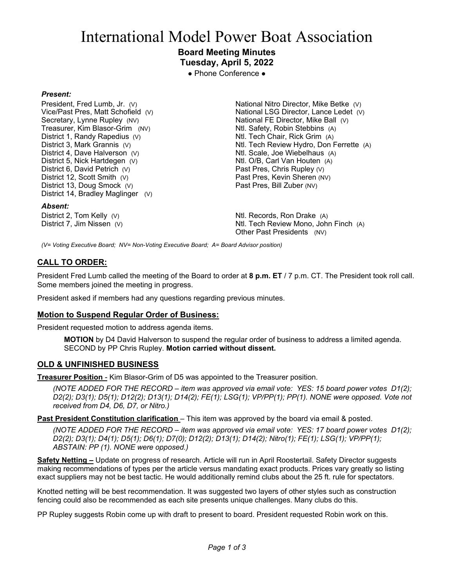# International Model Power Boat Association

## **Board Meeting Minutes Tuesday, April 5, 2022**

● Phone Conference ●

## *Present:*

President, Fred Lumb, Jr. (V) Vice/Past Pres, Matt Schofield (V) Secretary, Lynne Rupley (NV) Treasurer, Kim Blasor-Grim (NV) District 1, Randy Rapedius (V) District 3, Mark Grannis (V) District 4, Dave Halverson (V) District 5, Nick Hartdegen (V) District 6, David Petrich (V) District 12, Scott Smith (V) District 13, Doug Smock (V) District 14, Bradley Maglinger (V)

#### *Absent:*

District 2, Tom Kelly (V) District 7, Jim Nissen (V)

National Nitro Director, Mike Betke (V) National LSG Director, Lance Ledet (V) National FE Director, Mike Ball (V) Ntl. Safety, Robin Stebbins (A) Ntl. Tech Chair, Rick Grim (A) Ntl. Tech Review Hydro, Don Ferrette (A) Ntl. Scale, Joe Wiebelhaus (A) Ntl. O/B, Carl Van Houten (A) Past Pres, Chris Rupley (V) Past Pres, Kevin Sheren (NV) Past Pres, Bill Zuber (NV)

Ntl. Records, Ron Drake (A) Ntl. Tech Review Mono, John Finch (A) Other Past Presidents (NV)

*(V= Voting Executive Board; NV= Non-Voting Executive Board; A= Board Advisor position)*

## **CALL TO ORDER:**

President Fred Lumb called the meeting of the Board to order at **8 p.m. ET** / 7 p.m. CT. The President took roll call. Some members joined the meeting in progress.

President asked if members had any questions regarding previous minutes.

## **Motion to Suspend Regular Order of Business:**

President requested motion to address agenda items.

**MOTION** by D4 David Halverson to suspend the regular order of business to address a limited agenda. SECOND by PP Chris Rupley. **Motion carried without dissent.**

## **OLD & UNFINISHED BUSINESS**

**Treasurer Position** - Kim Blasor-Grim of D5 was appointed to the Treasurer position.

*(NOTE ADDED FOR THE RECORD – item was approved via email vote: YES: 15 board power votes D1(2); D2(2); D3(1); D5(1); D12(2); D13(1); D14(2); FE(1); LSG(1); VP/PP(1); PP(1). NONE were opposed. Vote not received from D4, D6, D7, or Nitro.)*

**Past President Constitution clarification** – This item was approved by the board via email & posted.

*(NOTE ADDED FOR THE RECORD – item was approved via email vote: YES: 17 board power votes D1(2); D2(2); D3(1); D4(1); D5(1); D6(1); D7(0); D12(2); D13(1); D14(2); Nitro(1); FE(1); LSG(1); VP/PP(1); ABSTAIN: PP (1). NONE were opposed.)*

**Safety Netting –** Update on progress of research. Article will run in April Roostertail. Safety Director suggests making recommendations of types per the article versus mandating exact products. Prices vary greatly so listing exact suppliers may not be best tactic. He would additionally remind clubs about the 25 ft. rule for spectators.

Knotted netting will be best recommendation. It was suggested two layers of other styles such as construction fencing could also be recommended as each site presents unique challenges. Many clubs do this.

PP Rupley suggests Robin come up with draft to present to board. President requested Robin work on this.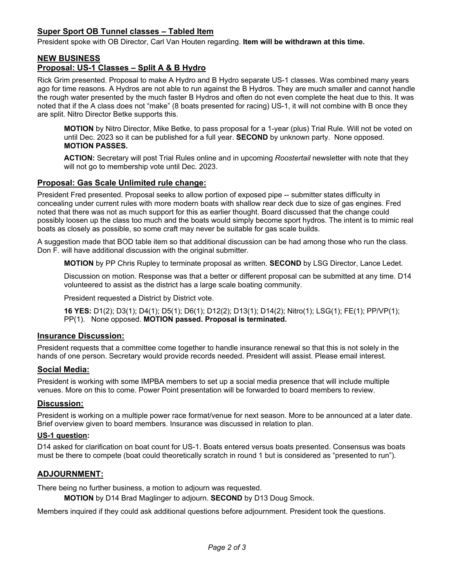## **Super Sport OB Tunnel classes – Tabled Item**

President spoke with OB Director, Carl Van Houten regarding. **Item will be withdrawn at this time.**

# **NEW BUSINESS**

## **Proposal: US-1 Classes – Split A & B Hydro**

Rick Grim presented. Proposal to make A Hydro and B Hydro separate US-1 classes. Was combined many years ago for time reasons. A Hydros are not able to run against the B Hydros. They are much smaller and cannot handle the rough water presented by the much faster B Hydros and often do not even complete the heat due to this. It was noted that if the A class does not "make" (8 boats presented for racing) US-1, it will not combine with B once they are split. Nitro Director Betke supports this.

**MOTION** by Nitro Director, Mike Betke, to pass proposal for a 1-year (plus) Trial Rule. Will not be voted on until Dec. 2023 so it can be published for a full year. **SECOND** by unknown party. None opposed. **MOTION PASSES.**

**ACTION:** Secretary will post Trial Rules online and in upcoming *Roostertail* newsletter with note that they will not go to membership vote until Dec. 2023.

## **Proposal: Gas Scale Unlimited rule change:**

President Fred presented. Proposal seeks to allow portion of exposed pipe -- submitter states difficulty in concealing under current rules with more modern boats with shallow rear deck due to size of gas engines. Fred noted that there was not as much support for this as earlier thought. Board discussed that the change could possibly loosen up the class too much and the boats would simply become sport hydros. The intent is to mimic real boats as closely as possible, so some craft may never be suitable for gas scale builds.

A suggestion made that BOD table item so that additional discussion can be had among those who run the class. Don F. will have additional discussion with the original submitter.

**MOTION** by PP Chris Rupley to terminate proposal as written. **SECOND** by LSG Director, Lance Ledet.

Discussion on motion. Response was that a better or different proposal can be submitted at any time. D14 volunteered to assist as the district has a large scale boating community.

President requested a District by District vote.

**16 YES:** D1(2); D3(1); D4(1); D5(1); D6(1); D12(2); D13(1); D14(2); Nitro(1); LSG(1); FE(1); PP/VP(1); PP(1). None opposed. **MOTION passed. Proposal is terminated.** 

## **Insurance Discussion:**

President requests that a committee come together to handle insurance renewal so that this is not solely in the hands of one person. Secretary would provide records needed. President will assist. Please email interest.

## **Social Media:**

President is working with some IMPBA members to set up a social media presence that will include multiple venues. More on this to come. Power Point presentation will be forwarded to board members to review.

## **Discussion:**

President is working on a multiple power race format/venue for next season. More to be announced at a later date. Brief overview given to board members. Insurance was discussed in relation to plan.

## **US-1 question:**

D14 asked for clarification on boat count for US-1. Boats entered versus boats presented. Consensus was boats must be there to compete (boat could theoretically scratch in round 1 but is considered as "presented to run").

## **ADJOURNMENT:**

There being no further business, a motion to adjourn was requested.

**MOTION** by D14 Brad Maglinger to adjourn. **SECOND** by D13 Doug Smock.

Members inquired if they could ask additional questions before adjournment. President took the questions.